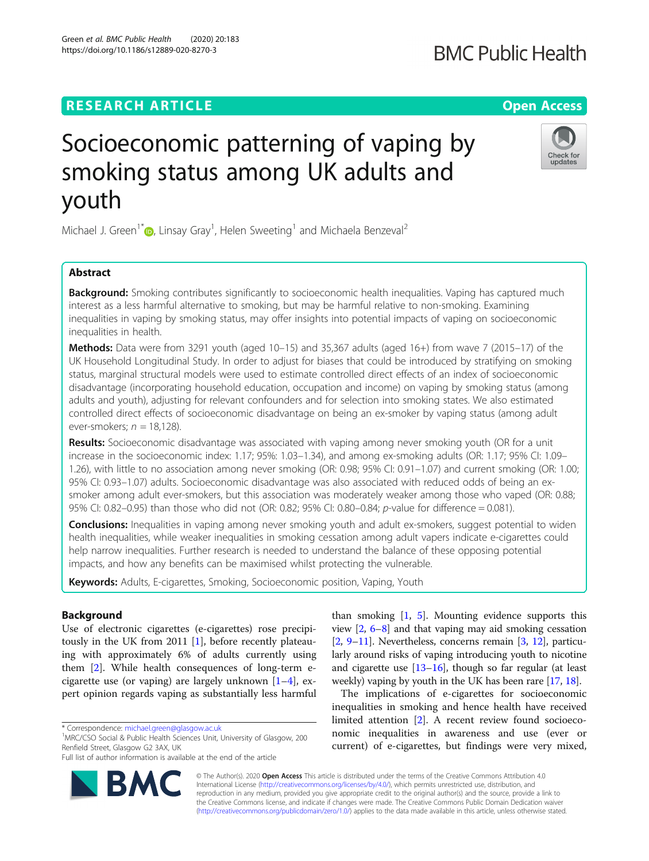# **RESEARCH ARTICLE Example 2014 12:30 The Open Access**

# Socioeconomic patterning of vaping by smoking status among UK adults and youth

Michael J. Green<sup>1[\\*](http://orcid.org/0000-0003-3193-2452)</sup> $\bigcirc$ , Linsay Gray<sup>1</sup>, Helen Sweeting<sup>1</sup> and Michaela Benzeval<sup>2</sup>

# Abstract

Background: Smoking contributes significantly to socioeconomic health inequalities. Vaping has captured much interest as a less harmful alternative to smoking, but may be harmful relative to non-smoking. Examining inequalities in vaping by smoking status, may offer insights into potential impacts of vaping on socioeconomic inequalities in health.

Methods: Data were from 3291 youth (aged 10-15) and 35,367 adults (aged 16+) from wave 7 (2015–17) of the UK Household Longitudinal Study. In order to adjust for biases that could be introduced by stratifying on smoking status, marginal structural models were used to estimate controlled direct effects of an index of socioeconomic disadvantage (incorporating household education, occupation and income) on vaping by smoking status (among adults and youth), adjusting for relevant confounders and for selection into smoking states. We also estimated controlled direct effects of socioeconomic disadvantage on being an ex-smoker by vaping status (among adult ever-smokers;  $n = 18,128$ ).

Results: Socioeconomic disadvantage was associated with vaping among never smoking youth (OR for a unit increase in the socioeconomic index: 1.17; 95%: 1.03–1.34), and among ex-smoking adults (OR: 1.17; 95% CI: 1.09– 1.26), with little to no association among never smoking (OR: 0.98; 95% CI: 0.91–1.07) and current smoking (OR: 1.00; 95% CI: 0.93–1.07) adults. Socioeconomic disadvantage was also associated with reduced odds of being an exsmoker among adult ever-smokers, but this association was moderately weaker among those who vaped (OR: 0.88; 95% CI: 0.82–0.95) than those who did not (OR: 0.82; 95% CI: 0.80–0.84; p-value for difference = 0.081).

**Conclusions:** Inequalities in vaping among never smoking youth and adult ex-smokers, suggest potential to widen health inequalities, while weaker inequalities in smoking cessation among adult vapers indicate e-cigarettes could help narrow inequalities. Further research is needed to understand the balance of these opposing potential impacts, and how any benefits can be maximised whilst protecting the vulnerable.

Keywords: Adults, E-cigarettes, Smoking, Socioeconomic position, Vaping, Youth

# Background

Use of electronic cigarettes (e-cigarettes) rose precipitously in the UK from 2011 [[1\]](#page-9-0), before recently plateauing with approximately 6% of adults currently using them [\[2](#page-9-0)]. While health consequences of long-term ecigarette use (or vaping) are largely unknown  $[1-4]$  $[1-4]$  $[1-4]$ , expert opinion regards vaping as substantially less harmful

\* Correspondence: [michael.green@glasgow.ac.uk](mailto:michael.green@glasgow.ac.uk) <sup>1</sup>

RA

MRC/CSO Social & Public Health Sciences Unit, University of Glasgow, 200 Renfield Street, Glasgow G2 3AX, UK

and cigarette use  $[13-16]$  $[13-16]$  $[13-16]$  $[13-16]$ , though so far regular (at least weekly) vaping by youth in the UK has been rare [[17](#page-9-0), [18\]](#page-9-0). The implications of e-cigarettes for socioeconomic inequalities in smoking and hence health have received limited attention [[2\]](#page-9-0). A recent review found socioeconomic inequalities in awareness and use (ever or

current) of e-cigarettes, but findings were very mixed,

than smoking  $[1, 5]$  $[1, 5]$  $[1, 5]$  $[1, 5]$ . Mounting evidence supports this view [\[2](#page-9-0), [6](#page-9-0)–[8](#page-9-0)] and that vaping may aid smoking cessation  $[2, 9-11]$  $[2, 9-11]$  $[2, 9-11]$  $[2, 9-11]$  $[2, 9-11]$  $[2, 9-11]$ . Nevertheless, concerns remain  $[3, 12]$  $[3, 12]$  $[3, 12]$  $[3, 12]$ , particularly around risks of vaping introducing youth to nicotine

© The Author(s). 2020 **Open Access** This article is distributed under the terms of the Creative Commons Attribution 4.0 International License [\(http://creativecommons.org/licenses/by/4.0/](http://creativecommons.org/licenses/by/4.0/)), which permits unrestricted use, distribution, and reproduction in any medium, provided you give appropriate credit to the original author(s) and the source, provide a link to the Creative Commons license, and indicate if changes were made. The Creative Commons Public Domain Dedication waiver [\(http://creativecommons.org/publicdomain/zero/1.0/](http://creativecommons.org/publicdomain/zero/1.0/)) applies to the data made available in this article, unless otherwise stated.



Full list of author information is available at the end of the article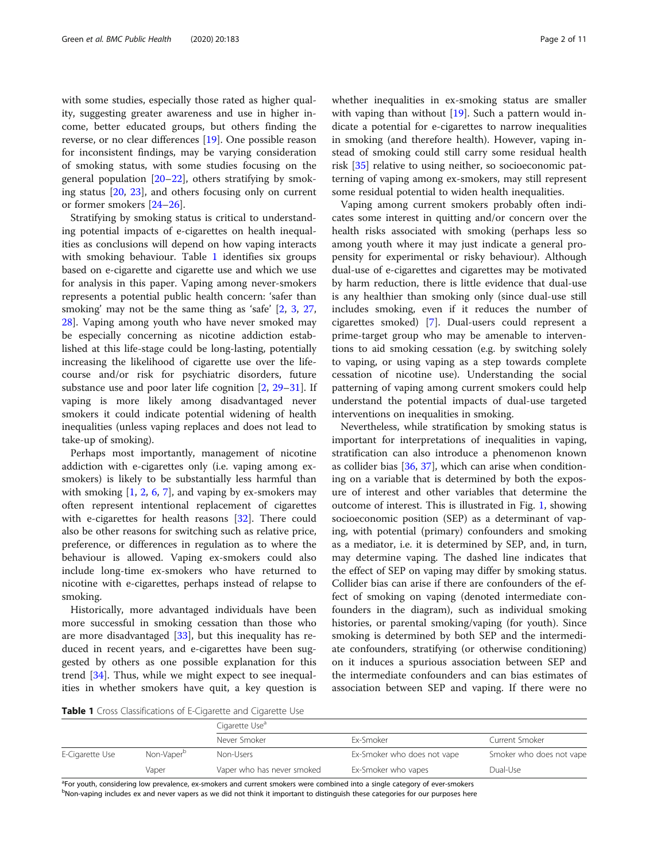with some studies, especially those rated as higher quality, suggesting greater awareness and use in higher income, better educated groups, but others finding the reverse, or no clear differences [\[19](#page-9-0)]. One possible reason for inconsistent findings, may be varying consideration of smoking status, with some studies focusing on the general population  $[20-22]$  $[20-22]$  $[20-22]$  $[20-22]$  $[20-22]$ , others stratifying by smoking status [[20,](#page-9-0) [23](#page-9-0)], and others focusing only on current or former smokers [\[24](#page-9-0)–[26\]](#page-9-0).

Stratifying by smoking status is critical to understanding potential impacts of e-cigarettes on health inequalities as conclusions will depend on how vaping interacts with smoking behaviour. Table 1 identifies six groups based on e-cigarette and cigarette use and which we use for analysis in this paper. Vaping among never-smokers represents a potential public health concern: 'safer than smoking' may not be the same thing as 'safe' [\[2](#page-9-0), [3](#page-9-0), [27](#page-9-0), [28\]](#page-9-0). Vaping among youth who have never smoked may be especially concerning as nicotine addiction established at this life-stage could be long-lasting, potentially increasing the likelihood of cigarette use over the lifecourse and/or risk for psychiatric disorders, future substance use and poor later life cognition [[2,](#page-9-0) [29](#page-9-0)–[31\]](#page-9-0). If vaping is more likely among disadvantaged never smokers it could indicate potential widening of health inequalities (unless vaping replaces and does not lead to take-up of smoking).

Perhaps most importantly, management of nicotine addiction with e-cigarettes only (i.e. vaping among exsmokers) is likely to be substantially less harmful than with smoking [[1,](#page-9-0) [2,](#page-9-0) [6](#page-9-0), [7](#page-9-0)], and vaping by ex-smokers may often represent intentional replacement of cigarettes with e-cigarettes for health reasons [[32\]](#page-9-0). There could also be other reasons for switching such as relative price, preference, or differences in regulation as to where the behaviour is allowed. Vaping ex-smokers could also include long-time ex-smokers who have returned to nicotine with e-cigarettes, perhaps instead of relapse to smoking.

Historically, more advantaged individuals have been more successful in smoking cessation than those who are more disadvantaged [[33](#page-9-0)], but this inequality has reduced in recent years, and e-cigarettes have been suggested by others as one possible explanation for this trend [\[34](#page-9-0)]. Thus, while we might expect to see inequalities in whether smokers have quit, a key question is whether inequalities in ex-smoking status are smaller with vaping than without [[19\]](#page-9-0). Such a pattern would indicate a potential for e-cigarettes to narrow inequalities in smoking (and therefore health). However, vaping instead of smoking could still carry some residual health risk [\[35\]](#page-9-0) relative to using neither, so socioeconomic patterning of vaping among ex-smokers, may still represent some residual potential to widen health inequalities.

Vaping among current smokers probably often indicates some interest in quitting and/or concern over the health risks associated with smoking (perhaps less so among youth where it may just indicate a general propensity for experimental or risky behaviour). Although dual-use of e-cigarettes and cigarettes may be motivated by harm reduction, there is little evidence that dual-use is any healthier than smoking only (since dual-use still includes smoking, even if it reduces the number of cigarettes smoked) [[7\]](#page-9-0). Dual-users could represent a prime-target group who may be amenable to interventions to aid smoking cessation (e.g. by switching solely to vaping, or using vaping as a step towards complete cessation of nicotine use). Understanding the social patterning of vaping among current smokers could help understand the potential impacts of dual-use targeted interventions on inequalities in smoking.

Nevertheless, while stratification by smoking status is important for interpretations of inequalities in vaping, stratification can also introduce a phenomenon known as collider bias [\[36](#page-9-0), [37](#page-9-0)], which can arise when conditioning on a variable that is determined by both the exposure of interest and other variables that determine the outcome of interest. This is illustrated in Fig. [1](#page-2-0), showing socioeconomic position (SEP) as a determinant of vaping, with potential (primary) confounders and smoking as a mediator, i.e. it is determined by SEP, and, in turn, may determine vaping. The dashed line indicates that the effect of SEP on vaping may differ by smoking status. Collider bias can arise if there are confounders of the effect of smoking on vaping (denoted intermediate confounders in the diagram), such as individual smoking histories, or parental smoking/vaping (for youth). Since smoking is determined by both SEP and the intermediate confounders, stratifying (or otherwise conditioning) on it induces a spurious association between SEP and the intermediate confounders and can bias estimates of association between SEP and vaping. If there were no

Table 1 Cross Classifications of E-Cigarette and Cigarette Use

|                 |                        | Cigarette Use <sup>a</sup> |                             |                          |
|-----------------|------------------------|----------------------------|-----------------------------|--------------------------|
|                 |                        | Never Smoker               | Ex-Smoker                   | Current Smoker           |
| E-Cigarette Use | Non-Vaper <sup>b</sup> | Non-Users                  | Ex-Smoker who does not vape | Smoker who does not vape |
|                 | Vaper                  | Vaper who has never smoked | Ex-Smoker who vapes         | Dual-Use                 |

<sup>a</sup>For youth, considering low prevalence, ex-smokers and current smokers were combined into a single category of ever-smokers b<br>Non-vaping includes ex and never vapers as we did not think it important to distinguish these categories for our purposes here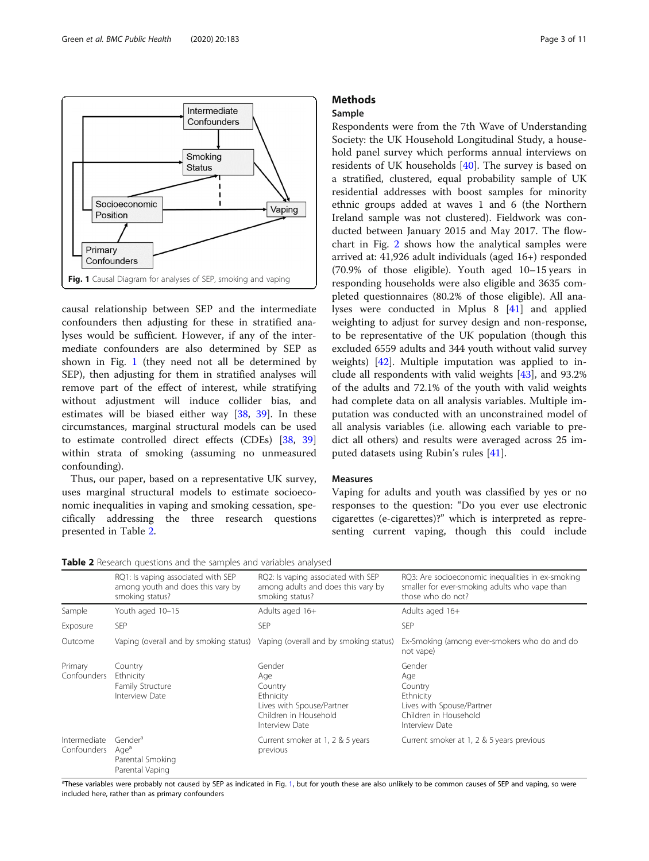causal relationship between SEP and the intermediate confounders then adjusting for these in stratified analyses would be sufficient. However, if any of the intermediate confounders are also determined by SEP as shown in Fig. 1 (they need not all be determined by SEP), then adjusting for them in stratified analyses will remove part of the effect of interest, while stratifying without adjustment will induce collider bias, and estimates will be biased either way [[38,](#page-9-0) [39\]](#page-9-0). In these circumstances, marginal structural models can be used to estimate controlled direct effects (CDEs) [\[38](#page-9-0), [39](#page-9-0)] within strata of smoking (assuming no unmeasured confounding).

Thus, our paper, based on a representative UK survey, uses marginal structural models to estimate socioeconomic inequalities in vaping and smoking cessation, specifically addressing the three research questions presented in Table 2.

# **Methods**

# Sample

Respondents were from the 7th Wave of Understanding Society: the UK Household Longitudinal Study, a household panel survey which performs annual interviews on residents of UK households [[40\]](#page-9-0). The survey is based on a stratified, clustered, equal probability sample of UK residential addresses with boost samples for minority ethnic groups added at waves 1 and 6 (the Northern Ireland sample was not clustered). Fieldwork was conducted between January 2015 and May 2017. The flowchart in Fig. [2](#page-3-0) shows how the analytical samples were arrived at: 41,926 adult individuals (aged 16+) responded (70.9% of those eligible). Youth aged 10–15 years in responding households were also eligible and 3635 completed questionnaires (80.2% of those eligible). All analyses were conducted in Mplus 8 [[41](#page-9-0)] and applied weighting to adjust for survey design and non-response, to be representative of the UK population (though this excluded 6559 adults and 344 youth without valid survey weights) [\[42\]](#page-9-0). Multiple imputation was applied to include all respondents with valid weights [[43\]](#page-9-0), and 93.2% of the adults and 72.1% of the youth with valid weights had complete data on all analysis variables. Multiple imputation was conducted with an unconstrained model of all analysis variables (i.e. allowing each variable to predict all others) and results were averaged across 25 imputed datasets using Rubin's rules [[41\]](#page-9-0).

#### Measures

Vaping for adults and youth was classified by yes or no responses to the question: "Do you ever use electronic cigarettes (e-cigarettes)?" which is interpreted as representing current vaping, though this could include



|                             | RQ1: Is vaping associated with SEP<br>among youth and does this vary by<br>smoking status? | RQ2: Is vaping associated with SEP<br>among adults and does this vary by<br>smoking status?                   | RQ3: Are socioeconomic inequalities in ex-smoking<br>smaller for ever-smoking adults who vape than<br>those who do not? |
|-----------------------------|--------------------------------------------------------------------------------------------|---------------------------------------------------------------------------------------------------------------|-------------------------------------------------------------------------------------------------------------------------|
| Sample                      | Youth aged 10-15                                                                           | Adults aged 16+                                                                                               | Adults aged 16+                                                                                                         |
| Exposure                    | <b>SEP</b>                                                                                 | <b>SEP</b>                                                                                                    | <b>SEP</b>                                                                                                              |
| Outcome                     |                                                                                            | Vaping (overall and by smoking status) Vaping (overall and by smoking status)                                 | Ex-Smoking (among ever-smokers who do and do<br>not vape)                                                               |
| Primary<br>Confounders      | Country<br>Ethnicity<br>Family Structure<br>Interview Date                                 | Gender<br>Age<br>Country<br>Ethnicity<br>Lives with Spouse/Partner<br>Children in Household<br>Interview Date | Gender<br>Age<br>Country<br>Ethnicity<br>Lives with Spouse/Partner<br>Children in Household<br>Interview Date           |
| Intermediate<br>Confounders | Gender <sup>a</sup><br>Age <sup>d</sup><br>Parental Smoking<br>Parental Vaping             | Current smoker at 1, 2 & 5 years<br>previous                                                                  | Current smoker at 1, 2 & 5 years previous                                                                               |

<sup>a</sup>These variables were probably not caused by SEP as indicated in Fig. 1, but for youth these are also unlikely to be common causes of SEP and vaping, so were included here, rather than as primary confounders

<span id="page-2-0"></span>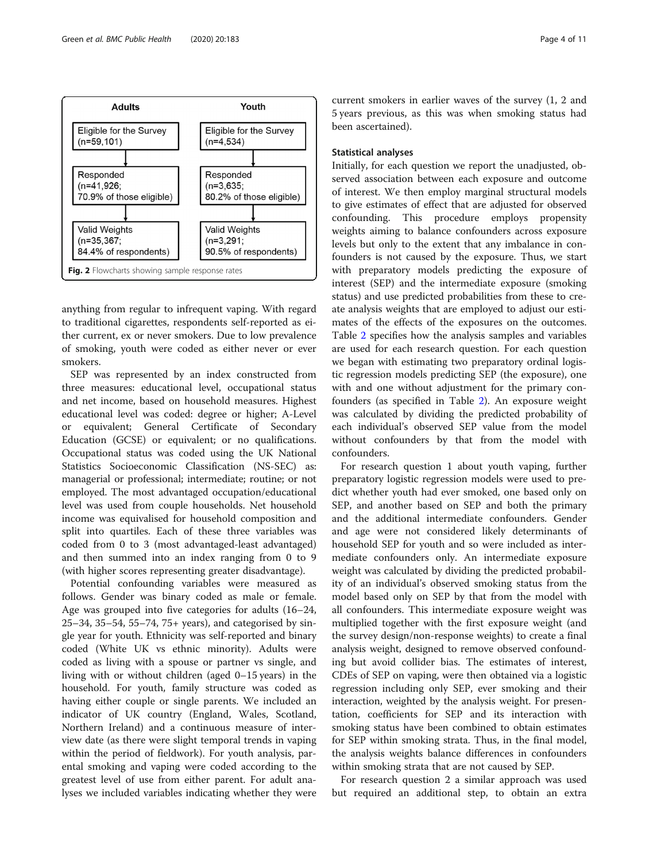<span id="page-3-0"></span>

anything from regular to infrequent vaping. With regard to traditional cigarettes, respondents self-reported as either current, ex or never smokers. Due to low prevalence of smoking, youth were coded as either never or ever smokers.

SEP was represented by an index constructed from three measures: educational level, occupational status and net income, based on household measures. Highest educational level was coded: degree or higher; A-Level equivalent; General Certificate of Secondary Education (GCSE) or equivalent; or no qualifications. Occupational status was coded using the UK National Statistics Socioeconomic Classification (NS-SEC) as: managerial or professional; intermediate; routine; or not employed. The most advantaged occupation/educational level was used from couple households. Net household income was equivalised for household composition and split into quartiles. Each of these three variables was coded from 0 to 3 (most advantaged-least advantaged) and then summed into an index ranging from 0 to 9 (with higher scores representing greater disadvantage).

Potential confounding variables were measured as follows. Gender was binary coded as male or female. Age was grouped into five categories for adults (16–24, 25–34, 35–54, 55–74, 75+ years), and categorised by single year for youth. Ethnicity was self-reported and binary coded (White UK vs ethnic minority). Adults were coded as living with a spouse or partner vs single, and living with or without children (aged 0–15 years) in the household. For youth, family structure was coded as having either couple or single parents. We included an indicator of UK country (England, Wales, Scotland, Northern Ireland) and a continuous measure of interview date (as there were slight temporal trends in vaping within the period of fieldwork). For youth analysis, parental smoking and vaping were coded according to the greatest level of use from either parent. For adult analyses we included variables indicating whether they were current smokers in earlier waves of the survey (1, 2 and 5 years previous, as this was when smoking status had been ascertained).

## Statistical analyses

Initially, for each question we report the unadjusted, observed association between each exposure and outcome of interest. We then employ marginal structural models to give estimates of effect that are adjusted for observed confounding. This procedure employs propensity weights aiming to balance confounders across exposure levels but only to the extent that any imbalance in confounders is not caused by the exposure. Thus, we start with preparatory models predicting the exposure of interest (SEP) and the intermediate exposure (smoking status) and use predicted probabilities from these to create analysis weights that are employed to adjust our estimates of the effects of the exposures on the outcomes. Table [2](#page-2-0) specifies how the analysis samples and variables are used for each research question. For each question we began with estimating two preparatory ordinal logistic regression models predicting SEP (the exposure), one with and one without adjustment for the primary confounders (as specified in Table [2](#page-2-0)). An exposure weight was calculated by dividing the predicted probability of each individual's observed SEP value from the model without confounders by that from the model with confounders.

For research question 1 about youth vaping, further preparatory logistic regression models were used to predict whether youth had ever smoked, one based only on SEP, and another based on SEP and both the primary and the additional intermediate confounders. Gender and age were not considered likely determinants of household SEP for youth and so were included as intermediate confounders only. An intermediate exposure weight was calculated by dividing the predicted probability of an individual's observed smoking status from the model based only on SEP by that from the model with all confounders. This intermediate exposure weight was multiplied together with the first exposure weight (and the survey design/non-response weights) to create a final analysis weight, designed to remove observed confounding but avoid collider bias. The estimates of interest, CDEs of SEP on vaping, were then obtained via a logistic regression including only SEP, ever smoking and their interaction, weighted by the analysis weight. For presentation, coefficients for SEP and its interaction with smoking status have been combined to obtain estimates for SEP within smoking strata. Thus, in the final model, the analysis weights balance differences in confounders within smoking strata that are not caused by SEP.

For research question 2 a similar approach was used but required an additional step, to obtain an extra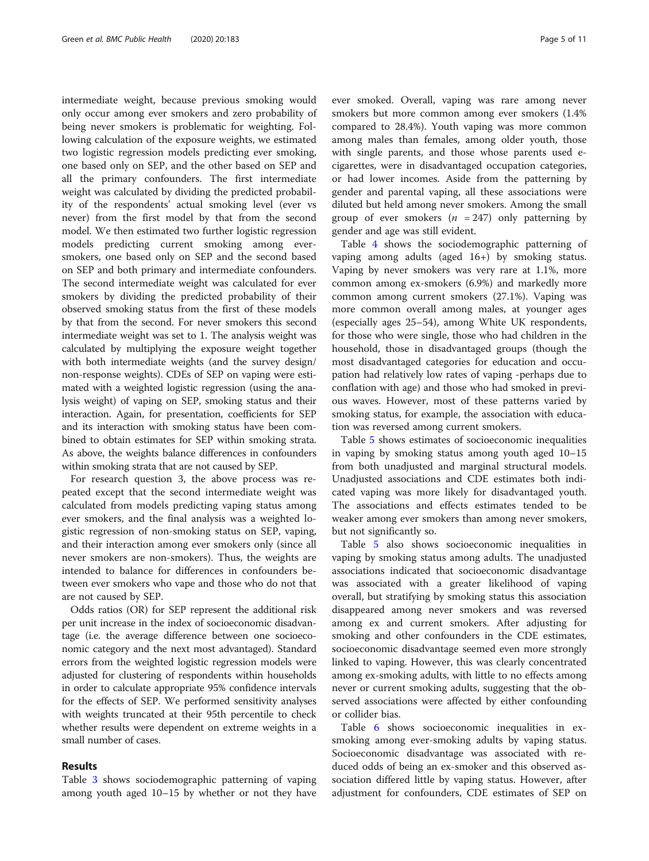intermediate weight, because previous smoking would only occur among ever smokers and zero probability of being never smokers is problematic for weighting. Following calculation of the exposure weights, we estimated two logistic regression models predicting ever smoking, one based only on SEP, and the other based on SEP and all the primary confounders. The first intermediate weight was calculated by dividing the predicted probability of the respondents' actual smoking level (ever vs never) from the first model by that from the second model. We then estimated two further logistic regression models predicting current smoking among eversmokers, one based only on SEP and the second based on SEP and both primary and intermediate confounders. The second intermediate weight was calculated for ever smokers by dividing the predicted probability of their observed smoking status from the first of these models by that from the second. For never smokers this second intermediate weight was set to 1. The analysis weight was calculated by multiplying the exposure weight together with both intermediate weights (and the survey design/ non-response weights). CDEs of SEP on vaping were estimated with a weighted logistic regression (using the analysis weight) of vaping on SEP, smoking status and their interaction. Again, for presentation, coefficients for SEP and its interaction with smoking status have been combined to obtain estimates for SEP within smoking strata. As above, the weights balance differences in confounders within smoking strata that are not caused by SEP.

For research question 3, the above process was repeated except that the second intermediate weight was calculated from models predicting vaping status among ever smokers, and the final analysis was a weighted logistic regression of non-smoking status on SEP, vaping, and their interaction among ever smokers only (since all never smokers are non-smokers). Thus, the weights are intended to balance for differences in confounders between ever smokers who vape and those who do not that are not caused by SEP.

Odds ratios (OR) for SEP represent the additional risk per unit increase in the index of socioeconomic disadvantage (i.e. the average difference between one socioeconomic category and the next most advantaged). Standard errors from the weighted logistic regression models were adjusted for clustering of respondents within households in order to calculate appropriate 95% confidence intervals for the effects of SEP. We performed sensitivity analyses with weights truncated at their 95th percentile to check whether results were dependent on extreme weights in a small number of cases.

# Results

Table [3](#page-5-0) shows sociodemographic patterning of vaping among youth aged 10–15 by whether or not they have ever smoked. Overall, vaping was rare among never smokers but more common among ever smokers (1.4% compared to 28.4%). Youth vaping was more common among males than females, among older youth, those with single parents, and those whose parents used ecigarettes, were in disadvantaged occupation categories, or had lower incomes. Aside from the patterning by gender and parental vaping, all these associations were diluted but held among never smokers. Among the small group of ever smokers  $(n = 247)$  only patterning by gender and age was still evident.

Table [4](#page-6-0) shows the sociodemographic patterning of vaping among adults (aged 16+) by smoking status. Vaping by never smokers was very rare at 1.1%, more common among ex-smokers (6.9%) and markedly more common among current smokers (27.1%). Vaping was more common overall among males, at younger ages (especially ages 25–54), among White UK respondents, for those who were single, those who had children in the household, those in disadvantaged groups (though the most disadvantaged categories for education and occupation had relatively low rates of vaping -perhaps due to conflation with age) and those who had smoked in previous waves. However, most of these patterns varied by smoking status, for example, the association with education was reversed among current smokers.

Table [5](#page-7-0) shows estimates of socioeconomic inequalities in vaping by smoking status among youth aged 10–15 from both unadjusted and marginal structural models. Unadjusted associations and CDE estimates both indicated vaping was more likely for disadvantaged youth. The associations and effects estimates tended to be weaker among ever smokers than among never smokers, but not significantly so.

Table [5](#page-7-0) also shows socioeconomic inequalities in vaping by smoking status among adults. The unadjusted associations indicated that socioeconomic disadvantage was associated with a greater likelihood of vaping overall, but stratifying by smoking status this association disappeared among never smokers and was reversed among ex and current smokers. After adjusting for smoking and other confounders in the CDE estimates, socioeconomic disadvantage seemed even more strongly linked to vaping. However, this was clearly concentrated among ex-smoking adults, with little to no effects among never or current smoking adults, suggesting that the observed associations were affected by either confounding or collider bias.

Table [6](#page-7-0) shows socioeconomic inequalities in exsmoking among ever-smoking adults by vaping status. Socioeconomic disadvantage was associated with reduced odds of being an ex-smoker and this observed association differed little by vaping status. However, after adjustment for confounders, CDE estimates of SEP on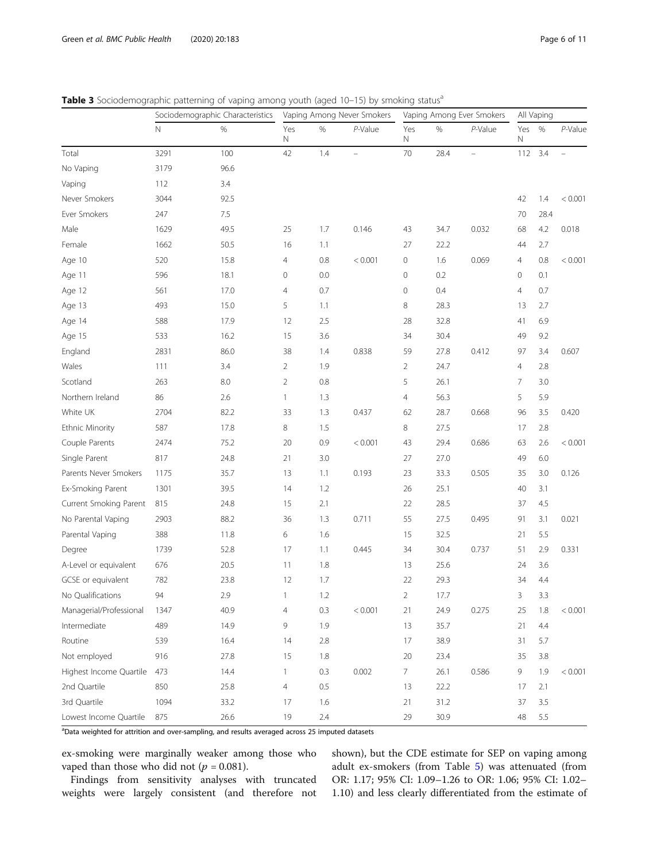|                         | Sociodemographic Characteristics | Vaping Among Never Smokers |                |      | Vaping Among Ever Smokers |                |      | All Vaping               |                |      |          |
|-------------------------|----------------------------------|----------------------------|----------------|------|---------------------------|----------------|------|--------------------------|----------------|------|----------|
|                         | Ν                                | $\%$                       | Yes<br>N       | $\%$ | $P$ -Value                | Yes<br>N       | %    | P-Value                  | Yes<br>Ν       | $\%$ | P-Value  |
| Total                   | 3291                             | 100                        | 42             | 1.4  |                           | 70             | 28.4 | $\overline{\phantom{0}}$ | 112 3.4        |      | $\equiv$ |
| No Vaping               | 3179                             | 96.6                       |                |      |                           |                |      |                          |                |      |          |
| Vaping                  | 112                              | 3.4                        |                |      |                           |                |      |                          |                |      |          |
| Never Smokers           | 3044                             | 92.5                       |                |      |                           |                |      |                          | 42             | 1.4  | < 0.001  |
| Ever Smokers            | 247                              | 7.5                        |                |      |                           |                |      |                          | 70             | 28.4 |          |
| Male                    | 1629                             | 49.5                       | 25             | 1.7  | 0.146                     | 43             | 34.7 | 0.032                    | 68             | 4.2  | 0.018    |
| Female                  | 1662                             | 50.5                       | 16             | 1.1  |                           | 27             | 22.2 |                          | 44             | 2.7  |          |
| Age 10                  | 520                              | 15.8                       | 4              | 0.8  | < 0.001                   | 0              | 1.6  | 0.069                    | 4              | 0.8  | < 0.001  |
| Age 11                  | 596                              | 18.1                       | $\mathbf 0$    | 0.0  |                           | 0              | 0.2  |                          | 0              | 0.1  |          |
| Age 12                  | 561                              | 17.0                       | $\overline{4}$ | 0.7  |                           | $\mathbf 0$    | 0.4  |                          | $\overline{4}$ | 0.7  |          |
| Age 13                  | 493                              | 15.0                       | 5              | 1.1  |                           | 8              | 28.3 |                          | 13             | 2.7  |          |
| Age 14                  | 588                              | 17.9                       | 12             | 2.5  |                           | 28             | 32.8 |                          | 41             | 6.9  |          |
| Age 15                  | 533                              | 16.2                       | 15             | 3.6  |                           | 34             | 30.4 |                          | 49             | 9.2  |          |
| England                 | 2831                             | 86.0                       | 38             | 1.4  | 0.838                     | 59             | 27.8 | 0.412                    | 97             | 3.4  | 0.607    |
| Wales                   | 111                              | 3.4                        | $\overline{2}$ | 1.9  |                           | 2              | 24.7 |                          | $\overline{4}$ | 2.8  |          |
| Scotland                | 263                              | 8.0                        | $\overline{2}$ | 0.8  |                           | 5              | 26.1 |                          | 7              | 3.0  |          |
| Northern Ireland        | 86                               | 2.6                        | $\mathbf{1}$   | 1.3  |                           | $\overline{4}$ | 56.3 |                          | 5              | 5.9  |          |
| White UK                | 2704                             | 82.2                       | 33             | 1.3  | 0.437                     | 62             | 28.7 | 0.668                    | 96             | 3.5  | 0.420    |
| Ethnic Minority         | 587                              | 17.8                       | 8              | 1.5  |                           | 8              | 27.5 |                          | 17             | 2.8  |          |
| Couple Parents          | 2474                             | 75.2                       | 20             | 0.9  | < 0.001                   | 43             | 29.4 | 0.686                    | 63             | 2.6  | < 0.001  |
| Single Parent           | 817                              | 24.8                       | 21             | 3.0  |                           | 27             | 27.0 |                          | 49             | 6.0  |          |
| Parents Never Smokers   | 1175                             | 35.7                       | 13             | 1.1  | 0.193                     | 23             | 33.3 | 0.505                    | 35             | 3.0  | 0.126    |
| Ex-Smoking Parent       | 1301                             | 39.5                       | 14             | 1.2  |                           | 26             | 25.1 |                          | 40             | 3.1  |          |
| Current Smoking Parent  | 815                              | 24.8                       | 15             | 2.1  |                           | 22             | 28.5 |                          | 37             | 4.5  |          |
| No Parental Vaping      | 2903                             | 88.2                       | 36             | 1.3  | 0.711                     | 55             | 27.5 | 0.495                    | 91             | 3.1  | 0.021    |
| Parental Vaping         | 388                              | 11.8                       | 6              | 1.6  |                           | 15             | 32.5 |                          | 21             | 5.5  |          |
| Degree                  | 1739                             | 52.8                       | 17             | 1.1  | 0.445                     | 34             | 30.4 | 0.737                    | 51             | 2.9  | 0.331    |
| A-Level or equivalent   | 676                              | 20.5                       | 11             | 1.8  |                           | 13             | 25.6 |                          | 24             | 3.6  |          |
| GCSE or equivalent      | 782                              | 23.8                       | 12             | 1.7  |                           | 22             | 29.3 |                          | 34             | 4.4  |          |
| No Qualifications       | 94                               | 2.9                        | $\mathbf{1}$   | 1.2  |                           | $\overline{2}$ | 17.7 |                          | $\overline{3}$ | 3.3  |          |
| Managerial/Professional | 1347                             | 40.9                       | $\overline{4}$ | 0.3  | < 0.001                   | 21             | 24.9 | 0.275                    | 25             | 1.8  | < 0.001  |
| Intermediate            | 489                              | 14.9                       | 9              | 1.9  |                           | 13             | 35.7 |                          | 21             | 4.4  |          |
| Routine                 | 539                              | 16.4                       | 14             | 2.8  |                           | 17             | 38.9 |                          | 31             | 5.7  |          |
| Not employed            | 916                              | 27.8                       | 15             | 1.8  |                           | 20             | 23.4 |                          | 35             | 3.8  |          |
| Highest Income Quartile | 473                              | 14.4                       | $\mathbf{1}$   | 0.3  | 0.002                     | 7              | 26.1 | 0.586                    | 9              | 1.9  | < 0.001  |
| 2nd Quartile            | 850                              | 25.8                       | $\overline{4}$ | 0.5  |                           | 13             | 22.2 |                          | 17             | 2.1  |          |
| 3rd Quartile            | 1094                             | 33.2                       | 17             | 1.6  |                           | 21             | 31.2 |                          | 37             | 3.5  |          |
| Lowest Income Quartile  | 875                              | 26.6                       | $19$           | 2.4  |                           | 29             | 30.9 |                          | 48             | 5.5  |          |

<span id="page-5-0"></span>

|  |  |  | Table 3 Sociodemographic patterning of vaping among youth (aged 10-15) by smoking status <sup>a</sup> |
|--|--|--|-------------------------------------------------------------------------------------------------------|
|  |  |  |                                                                                                       |

<sup>a</sup>Data weighted for attrition and over-sampling, and results averaged across 25 imputed datasets

ex-smoking were marginally weaker among those who vaped than those who did not ( $p = 0.081$ ).

Findings from sensitivity analyses with truncated weights were largely consistent (and therefore not shown), but the CDE estimate for SEP on vaping among adult ex-smokers (from Table [5\)](#page-7-0) was attenuated (from OR: 1.17; 95% CI: 1.09–1.26 to OR: 1.06; 95% CI: 1.02– 1.10) and less clearly differentiated from the estimate of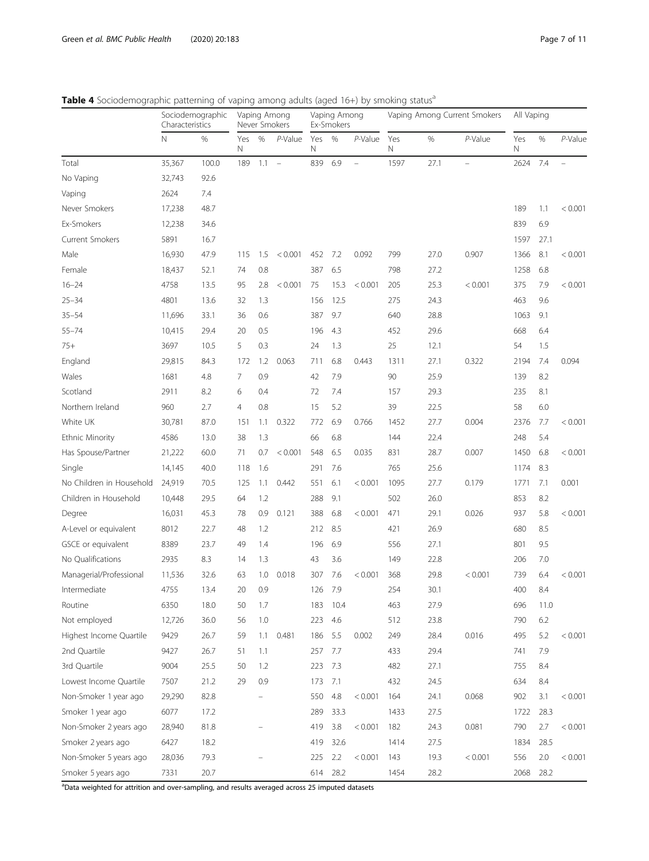<span id="page-6-0"></span>Table 4 Sociodemographic patterning of vaping among adults (aged 16+) by smoking status<sup>a</sup>

|                          | Sociodemographic<br>Characteristics |       | Vaping Among<br>Never Smokers |     | Vaping Among<br>Ex-Smokers |          | Vaping Among Current Smokers |          |          | All Vaping |                          |          |      |                          |
|--------------------------|-------------------------------------|-------|-------------------------------|-----|----------------------------|----------|------------------------------|----------|----------|------------|--------------------------|----------|------|--------------------------|
|                          | N                                   | %     | Yes<br>Ν                      | %   | $P-Value$                  | Yes<br>Ν | $\%$                         | P-Value  | Yes<br>N | $\%$       | P-Value                  | Yes<br>Ν | $\%$ | P-Value                  |
| Total                    | 35,367                              | 100.0 | 189                           | 1.1 | $\sim$ $-$                 | 839      | 6.9                          | $\equiv$ | 1597     | 27.1       | $\overline{\phantom{0}}$ | 2624     | 7.4  | $\overline{\phantom{0}}$ |
| No Vaping                | 32,743                              | 92.6  |                               |     |                            |          |                              |          |          |            |                          |          |      |                          |
| Vaping                   | 2624                                | 7.4   |                               |     |                            |          |                              |          |          |            |                          |          |      |                          |
| Never Smokers            | 17,238                              | 48.7  |                               |     |                            |          |                              |          |          |            |                          | 189      | 1.1  | < 0.001                  |
| Ex-Smokers               | 12,238                              | 34.6  |                               |     |                            |          |                              |          |          |            |                          | 839      | 6.9  |                          |
| Current Smokers          | 5891                                | 16.7  |                               |     |                            |          |                              |          |          |            |                          | 1597     | 27.1 |                          |
| Male                     | 16,930                              | 47.9  | 115                           | 1.5 | < 0.001                    | 452      | 7.2                          | 0.092    | 799      | 27.0       | 0.907                    | 1366     | 8.1  | < 0.001                  |
| Female                   | 18,437                              | 52.1  | 74                            | 0.8 |                            | 387      | 6.5                          |          | 798      | 27.2       |                          | 1258     | 6.8  |                          |
| $16 - 24$                | 4758                                | 13.5  | 95                            | 2.8 | < 0.001                    | 75       | 15.3                         | < 0.001  | 205      | 25.3       | < 0.001                  | 375      | 7.9  | < 0.001                  |
| $25 - 34$                | 4801                                | 13.6  | 32                            | 1.3 |                            | 156      | 12.5                         |          | 275      | 24.3       |                          | 463      | 9.6  |                          |
| $35 - 54$                | 11,696                              | 33.1  | 36                            | 0.6 |                            | 387      | 9.7                          |          | 640      | 28.8       |                          | 1063     | 9.1  |                          |
| $55 - 74$                | 10,415                              | 29.4  | 20                            | 0.5 |                            | 196      | 4.3                          |          | 452      | 29.6       |                          | 668      | 6.4  |                          |
| $75+$                    | 3697                                | 10.5  | 5                             | 0.3 |                            | 24       | 1.3                          |          | 25       | 12.1       |                          | 54       | 1.5  |                          |
| England                  | 29,815                              | 84.3  | 172                           | 1.2 | 0.063                      | 711      | 6.8                          | 0.443    | 1311     | 27.1       | 0.322                    | 2194     | 7.4  | 0.094                    |
| Wales                    | 1681                                | 4.8   | 7                             | 0.9 |                            | 42       | 7.9                          |          | 90       | 25.9       |                          | 139      | 8.2  |                          |
| Scotland                 | 2911                                | 8.2   | 6                             | 0.4 |                            | 72       | 7.4                          |          | 157      | 29.3       |                          | 235      | 8.1  |                          |
| Northern Ireland         | 960                                 | 2.7   | $\overline{4}$                | 0.8 |                            | 15       | 5.2                          |          | 39       | 22.5       |                          | 58       | 6.0  |                          |
| White UK                 | 30,781                              | 87.0  | 151                           | 1.1 | 0.322                      | 772      | 6.9                          | 0.766    | 1452     | 27.7       | 0.004                    | 2376     | 7.7  | < 0.001                  |
| Ethnic Minority          | 4586                                | 13.0  | 38                            | 1.3 |                            | 66       | 6.8                          |          | 144      | 22.4       |                          | 248      | 5.4  |                          |
| Has Spouse/Partner       | 21,222                              | 60.0  | 71                            | 0.7 | < 0.001                    | 548      | 6.5                          | 0.035    | 831      | 28.7       | 0.007                    | 1450     | 6.8  | < 0.001                  |
| Single                   | 14,145                              | 40.0  | 118                           | 1.6 |                            | 291      | 7.6                          |          | 765      | 25.6       |                          | 1174     | 8.3  |                          |
| No Children in Household | 24,919                              | 70.5  | 125                           | 1.1 | 0.442                      | 551      | 6.1                          | < 0.001  | 1095     | 27.7       | 0.179                    | 1771     | 7.1  | 0.001                    |
| Children in Household    | 10,448                              | 29.5  | 64                            | 1.2 |                            | 288      | 9.1                          |          | 502      | 26.0       |                          | 853      | 8.2  |                          |
| Degree                   | 16,031                              | 45.3  | 78                            | 0.9 | 0.121                      | 388      | 6.8                          | < 0.001  | 471      | 29.1       | 0.026                    | 937      | 5.8  | < 0.001                  |
| A-Level or equivalent    | 8012                                | 22.7  | 48                            | 1.2 |                            | 212      | 8.5                          |          | 421      | 26.9       |                          | 680      | 8.5  |                          |
| GSCE or equivalent       | 8389                                | 23.7  | 49                            | 1.4 |                            | 196      | 6.9                          |          | 556      | 27.1       |                          | 801      | 9.5  |                          |
| No Qualifications        | 2935                                | 8.3   | 14                            | 1.3 |                            | 43       | 3.6                          |          | 149      | 22.8       |                          | 206      | 7.0  |                          |
| Managerial/Professional  | 11,536                              | 32.6  | 63                            | 1.0 | 0.018                      | 307      | 7.6                          | < 0.001  | 368      | 29.8       | < 0.001                  | 739      | 6.4  | < 0.001                  |
| Intermediate             | 4755                                | 13.4  | 20                            | 0.9 |                            | 126      | 7.9                          |          | 254      | 30.1       |                          | 400      | 8.4  |                          |
| Routine                  | 6350                                | 18.0  | 50                            | 1.7 |                            | 183      | 10.4                         |          | 463      | 27.9       |                          | 696      | 11.0 |                          |
| Not employed             | 12,726                              | 36.0  | 56                            | 1.0 |                            | 223      | 4.6                          |          | 512      | 23.8       |                          | 790      | 6.2  |                          |
| Highest Income Quartile  | 9429                                | 26.7  | 59                            | 1.1 | 0.481                      | 186      | 5.5                          | 0.002    | 249      | 28.4       | 0.016                    | 495      | 5.2  | < 0.001                  |
| 2nd Quartile             | 9427                                | 26.7  | 51                            | 1.1 |                            | 257      | 7.7                          |          | 433      | 29.4       |                          | 741      | 7.9  |                          |
| 3rd Quartile             | 9004                                | 25.5  | 50                            | 1.2 |                            | 223      | 7.3                          |          | 482      | 27.1       |                          | 755      | 8.4  |                          |
| Lowest Income Quartile   | 7507                                | 21.2  | 29                            | 0.9 |                            | 173      | 7.1                          |          | 432      | 24.5       |                          | 634      | 8.4  |                          |
| Non-Smoker 1 year ago    | 29,290                              | 82.8  |                               |     |                            | 550      | 4.8                          | < 0.001  | 164      | 24.1       | 0.068                    | 902      | 3.1  | < 0.001                  |
| Smoker 1 year ago        | 6077                                | 17.2  |                               |     |                            | 289      | 33.3                         |          | 1433     | 27.5       |                          | 1722     | 28.3 |                          |
| Non-Smoker 2 years ago   | 28,940                              | 81.8  |                               |     |                            | 419      | 3.8                          | < 0.001  | 182      | 24.3       | 0.081                    | 790      | 2.7  | < 0.001                  |
| Smoker 2 years ago       | 6427                                | 18.2  |                               |     |                            | 419      | 32.6                         |          | 1414     | 27.5       |                          | 1834     | 28.5 |                          |
| Non-Smoker 5 years ago   | 28,036                              | 79.3  |                               |     |                            | 225      | 2.2                          | < 0.001  | 143      | 19.3       | < 0.001                  | 556      | 2.0  | < 0.001                  |
| Smoker 5 years ago       | 7331                                | 20.7  |                               |     |                            | 614      | 28.2                         |          | 1454     | 28.2       |                          | 2068     | 28.2 |                          |

<sup>a</sup>Data weighted for attrition and over-sampling, and results averaged across 25 imputed datasets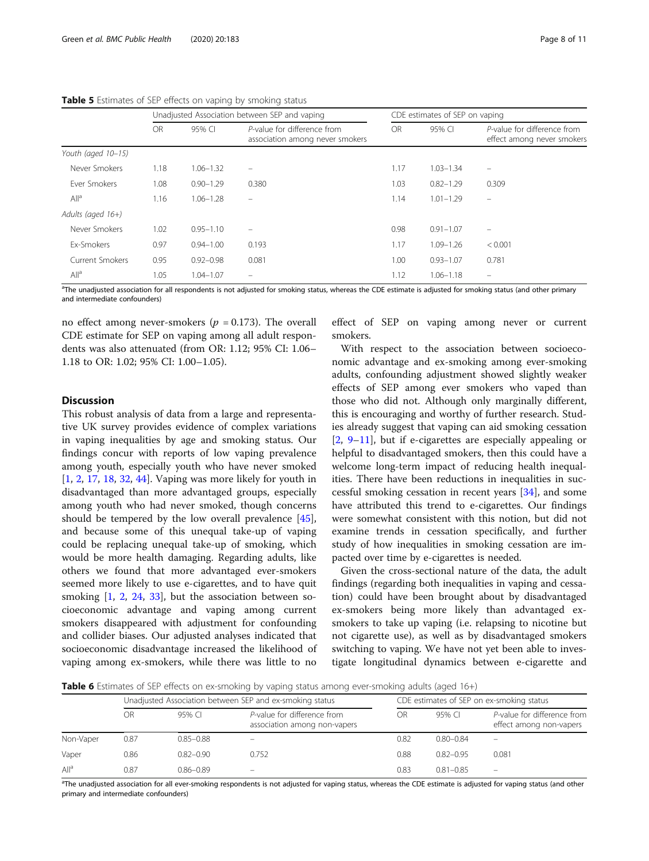|                    |           |               | Unadjusted Association between SEP and vaping                  | CDE estimates of SEP on vaping |               |                                                           |  |  |
|--------------------|-----------|---------------|----------------------------------------------------------------|--------------------------------|---------------|-----------------------------------------------------------|--|--|
|                    | <b>OR</b> | 95% CI        | P-value for difference from<br>association among never smokers | <b>OR</b>                      | 95% CI        | P-value for difference from<br>effect among never smokers |  |  |
| Youth (aged 10-15) |           |               |                                                                |                                |               |                                                           |  |  |
| Never Smokers      | 1.18      | $1.06 - 1.32$ |                                                                | 1.17                           | $1.03 - 1.34$ |                                                           |  |  |
| Ever Smokers       | 1.08      | $0.90 - 1.29$ | 0.380                                                          | 1.03                           | $0.82 - 1.29$ | 0.309                                                     |  |  |
| All <sup>a</sup>   | 1.16      | $1.06 - 1.28$ | -                                                              | 1.14                           | $1.01 - 1.29$ | $-$                                                       |  |  |
| Adults (aged 16+)  |           |               |                                                                |                                |               |                                                           |  |  |
| Never Smokers      | 1.02      | $0.95 - 1.10$ |                                                                | 0.98                           | $0.91 - 1.07$ |                                                           |  |  |
| Ex-Smokers         | 0.97      | $0.94 - 1.00$ | 0.193                                                          | 1.17                           | $1.09 - 1.26$ | < 0.001                                                   |  |  |
| Current Smokers    | 0.95      | $0.92 - 0.98$ | 0.081                                                          | 1.00                           | $0.93 - 1.07$ | 0.781                                                     |  |  |
| All <sup>a</sup>   | 1.05      | $1.04 - 1.07$ |                                                                | 1.12                           | $1.06 - 1.18$ |                                                           |  |  |

<span id="page-7-0"></span>Table 5 Estimates of SEP effects on vaping by smoking status

<sup>a</sup>The unadjusted association for all respondents is not adjusted for smoking status, whereas the CDE estimate is adjusted for smoking status (and other primary and intermediate confounders)

no effect among never-smokers ( $p = 0.173$ ). The overall CDE estimate for SEP on vaping among all adult respondents was also attenuated (from OR: 1.12; 95% CI: 1.06– 1.18 to OR: 1.02; 95% CI: 1.00–1.05).

This robust analysis of data from a large and representative UK survey provides evidence of complex variations in vaping inequalities by age and smoking status. Our findings concur with reports of low vaping prevalence among youth, especially youth who have never smoked [[1,](#page-9-0) [2,](#page-9-0) [17,](#page-9-0) [18,](#page-9-0) [32,](#page-9-0) [44\]](#page-9-0). Vaping was more likely for youth in disadvantaged than more advantaged groups, especially among youth who had never smoked, though concerns should be tempered by the low overall prevalence [\[45](#page-9-0)], and because some of this unequal take-up of vaping could be replacing unequal take-up of smoking, which would be more health damaging. Regarding adults, like others we found that more advantaged ever-smokers seemed more likely to use e-cigarettes, and to have quit smoking [[1,](#page-9-0) [2,](#page-9-0) [24,](#page-9-0) [33](#page-9-0)], but the association between socioeconomic advantage and vaping among current smokers disappeared with adjustment for confounding and collider biases. Our adjusted analyses indicated that socioeconomic disadvantage increased the likelihood of vaping among ex-smokers, while there was little to no

**Discussion** 

# effect of SEP on vaping among never or current smokers.

With respect to the association between socioeconomic advantage and ex-smoking among ever-smoking adults, confounding adjustment showed slightly weaker effects of SEP among ever smokers who vaped than those who did not. Although only marginally different, this is encouraging and worthy of further research. Studies already suggest that vaping can aid smoking cessation [[2,](#page-9-0) [9](#page-9-0)–[11\]](#page-9-0), but if e-cigarettes are especially appealing or helpful to disadvantaged smokers, then this could have a welcome long-term impact of reducing health inequalities. There have been reductions in inequalities in successful smoking cessation in recent years [\[34](#page-9-0)], and some have attributed this trend to e-cigarettes. Our findings were somewhat consistent with this notion, but did not examine trends in cessation specifically, and further study of how inequalities in smoking cessation are impacted over time by e-cigarettes is needed.

Given the cross-sectional nature of the data, the adult findings (regarding both inequalities in vaping and cessation) could have been brought about by disadvantaged ex-smokers being more likely than advantaged exsmokers to take up vaping (i.e. relapsing to nicotine but not cigarette use), as well as by disadvantaged smokers switching to vaping. We have not yet been able to investigate longitudinal dynamics between e-cigarette and

Table 6 Estimates of SEP effects on ex-smoking by vaping status among ever-smoking adults (aged 16+)

|                  |      |               | Unadjusted Association between SEP and ex-smoking status    | CDE estimates of SEP on ex-smoking status |               |                                                        |  |  |  |
|------------------|------|---------------|-------------------------------------------------------------|-------------------------------------------|---------------|--------------------------------------------------------|--|--|--|
|                  | ОR   | 95% CI        | P-value for difference from<br>association among non-vapers | OR                                        | 95% CI        | P-value for difference from<br>effect among non-vapers |  |  |  |
| Non-Vaper        | 0.87 | $0.85 - 0.88$ | $\overline{\phantom{0}}$                                    | 0.82                                      | $0.80 - 0.84$ | -                                                      |  |  |  |
| Vaper            | 0.86 | $0.82 - 0.90$ | 0.752                                                       | 0.88                                      | $0.82 - 0.95$ | 0.081                                                  |  |  |  |
| All <sup>a</sup> | 0.87 | $0.86 - 0.89$ |                                                             | 0.83                                      | $0.81 - 0.85$ | $\overline{\phantom{0}}$                               |  |  |  |

<sup>a</sup>The unadjusted association for all ever-smoking respondents is not adjusted for vaping status, whereas the CDE estimate is adjusted for vaping status (and other primary and intermediate confounders)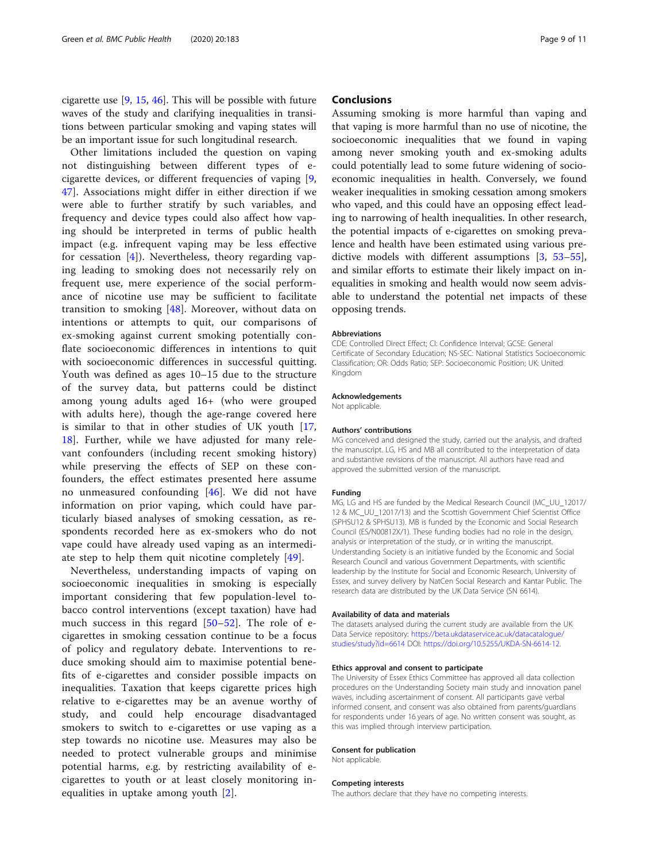cigarette use [\[9](#page-9-0), [15](#page-9-0), [46](#page-9-0)]. This will be possible with future waves of the study and clarifying inequalities in transitions between particular smoking and vaping states will be an important issue for such longitudinal research.

Other limitations included the question on vaping not distinguishing between different types of ecigarette devices, or different frequencies of vaping [\[9](#page-9-0), [47\]](#page-9-0). Associations might differ in either direction if we were able to further stratify by such variables, and frequency and device types could also affect how vaping should be interpreted in terms of public health impact (e.g. infrequent vaping may be less effective for cessation  $[4]$  $[4]$ ). Nevertheless, theory regarding vaping leading to smoking does not necessarily rely on frequent use, mere experience of the social performance of nicotine use may be sufficient to facilitate transition to smoking [[48\]](#page-9-0). Moreover, without data on intentions or attempts to quit, our comparisons of ex-smoking against current smoking potentially conflate socioeconomic differences in intentions to quit with socioeconomic differences in successful quitting. Youth was defined as ages 10–15 due to the structure of the survey data, but patterns could be distinct among young adults aged 16+ (who were grouped with adults here), though the age-range covered here is similar to that in other studies of UK youth [\[17](#page-9-0), [18\]](#page-9-0). Further, while we have adjusted for many relevant confounders (including recent smoking history) while preserving the effects of SEP on these confounders, the effect estimates presented here assume no unmeasured confounding [\[46](#page-9-0)]. We did not have information on prior vaping, which could have particularly biased analyses of smoking cessation, as respondents recorded here as ex-smokers who do not vape could have already used vaping as an intermediate step to help them quit nicotine completely [[49\]](#page-9-0).

Nevertheless, understanding impacts of vaping on socioeconomic inequalities in smoking is especially important considering that few population-level tobacco control interventions (except taxation) have had much success in this regard  $[50-52]$  $[50-52]$  $[50-52]$  $[50-52]$ . The role of ecigarettes in smoking cessation continue to be a focus of policy and regulatory debate. Interventions to reduce smoking should aim to maximise potential benefits of e-cigarettes and consider possible impacts on inequalities. Taxation that keeps cigarette prices high relative to e-cigarettes may be an avenue worthy of study, and could help encourage disadvantaged smokers to switch to e-cigarettes or use vaping as a step towards no nicotine use. Measures may also be needed to protect vulnerable groups and minimise potential harms, e.g. by restricting availability of ecigarettes to youth or at least closely monitoring inequalities in uptake among youth [[2\]](#page-9-0).

## **Conclusions**

Assuming smoking is more harmful than vaping and that vaping is more harmful than no use of nicotine, the socioeconomic inequalities that we found in vaping among never smoking youth and ex-smoking adults could potentially lead to some future widening of socioeconomic inequalities in health. Conversely, we found weaker inequalities in smoking cessation among smokers who vaped, and this could have an opposing effect leading to narrowing of health inequalities. In other research, the potential impacts of e-cigarettes on smoking prevalence and health have been estimated using various predictive models with different assumptions [\[3,](#page-9-0) [53](#page-10-0)–[55](#page-10-0)], and similar efforts to estimate their likely impact on inequalities in smoking and health would now seem advisable to understand the potential net impacts of these opposing trends.

#### Abbreviations

CDE: Controlled Direct Effect; CI: Confidence Interval; GCSE: General Certificate of Secondary Education; NS-SEC: National Statistics Socioeconomic Classification; OR: Odds Ratio; SEP: Socioeconomic Position; UK: United Kingdom

#### Acknowledgements

Not applicable.

#### Authors' contributions

MG conceived and designed the study, carried out the analysis, and drafted the manuscript. LG, HS and MB all contributed to the interpretation of data and substantive revisions of the manuscript. All authors have read and approved the submitted version of the manuscript.

#### Funding

MG, LG and HS are funded by the Medical Research Council (MC\_UU\_12017/ 12 & MC\_UU\_12017/13) and the Scottish Government Chief Scientist Office (SPHSU12 & SPHSU13). MB is funded by the Economic and Social Research Council (ES/N00812X/1). These funding bodies had no role in the design, analysis or interpretation of the study, or in writing the manuscript. Understanding Society is an initiative funded by the Economic and Social Research Council and various Government Departments, with scientific leadership by the Institute for Social and Economic Research, University of Essex, and survey delivery by NatCen Social Research and Kantar Public. The research data are distributed by the UK Data Service (SN 6614).

#### Availability of data and materials

The datasets analysed during the current study are available from the UK Data Service repository: [https://beta.ukdataservice.ac.uk/datacatalogue/](https://beta.ukdataservice.ac.uk/datacatalogue/studies/study?id=6614) [studies/study?id=6614](https://beta.ukdataservice.ac.uk/datacatalogue/studies/study?id=6614) DOI: [https://doi.org/10.5255/UKDA-SN-6614-12.](https://doi.org/10.5255/UKDA-SN-6614-12)

#### Ethics approval and consent to participate

The University of Essex Ethics Committee has approved all data collection procedures on the Understanding Society main study and innovation panel waves, including ascertainment of consent. All participants gave verbal informed consent, and consent was also obtained from parents/guardians for respondents under 16 years of age. No written consent was sought, as this was implied through interview participation.

#### Consent for publication

Not applicable.

#### Competing interests

The authors declare that they have no competing interests.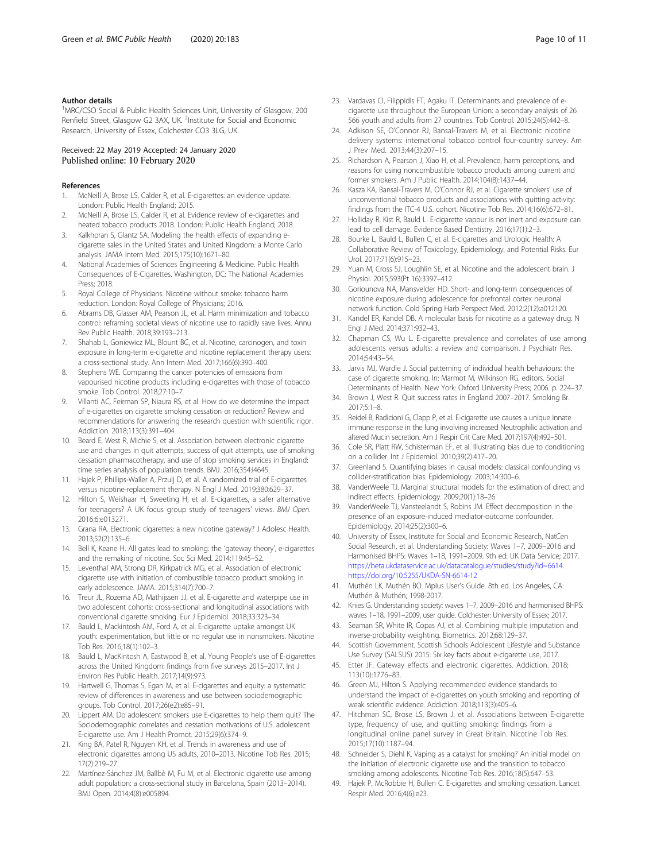#### <span id="page-9-0"></span>Author details

<sup>1</sup>MRC/CSO Social & Public Health Sciences Unit, University of Glasgow, 200 Renfield Street, Glasgow G2 3AX, UK. <sup>2</sup>Institute for Social and Economic Research, University of Essex, Colchester CO3 3LG, UK.

#### Received: 22 May 2019 Accepted: 24 January 2020 Published online: 10 February 2020

#### References

- 1. McNeill A, Brose LS, Calder R, et al. E-cigarettes: an evidence update. London: Public Health England; 2015.
- 2. McNeill A, Brose LS, Calder R, et al. Evidence review of e-cigarettes and heated tobacco products 2018. London: Public Health England; 2018.
- Kalkhoran S, Glantz SA. Modeling the health effects of expanding ecigarette sales in the United States and United Kingdom: a Monte Carlo analysis. JAMA Intern Med. 2015;175(10):1671–80.
- 4. National Academies of Sciences Engineering & Medicine. Public Health Consequences of E-Cigarettes. Washington, DC: The National Academies Press; 2018.
- 5. Royal College of Physicians. Nicotine without smoke: tobacco harm reduction. London: Royal College of Physicians; 2016.
- 6. Abrams DB, Glasser AM, Pearson JL, et al. Harm minimization and tobacco control: reframing societal views of nicotine use to rapidly save lives. Annu Rev Public Health. 2018;39:193–213.
- 7. Shahab L, Goniewicz ML, Blount BC, et al. Nicotine, carcinogen, and toxin exposure in long-term e-cigarette and nicotine replacement therapy users: a cross-sectional study. Ann Intern Med. 2017;166(6):390–400.
- 8. Stephens WE. Comparing the cancer potencies of emissions from vapourised nicotine products including e-cigarettes with those of tobacco smoke. Tob Control. 2018;27:10–7.
- Villanti AC, Feirman SP, Niaura RS, et al. How do we determine the impact of e-cigarettes on cigarette smoking cessation or reduction? Review and recommendations for answering the research question with scientific rigor. Addiction. 2018;113(3):391–404.
- 10. Beard E, West R, Michie S, et al. Association between electronic cigarette use and changes in quit attempts, success of quit attempts, use of smoking cessation pharmacotherapy, and use of stop smoking services in England: time series analysis of population trends. BMJ. 2016;354:i4645.
- 11. Hajek P, Phillips-Waller A, Przulj D, et al. A randomized trial of E-cigarettes versus nicotine-replacement therapy. N Engl J Med. 2019;380:629–37.
- 12. Hilton S, Weishaar H, Sweeting H, et al. E-cigarettes, a safer alternative for teenagers? A UK focus group study of teenagers' views. BMJ Open. 2016;6:e013271.
- 13. Grana RA. Electronic cigarettes: a new nicotine gateway? J Adolesc Health. 2013;52(2):135–6.
- 14. Bell K, Keane H. All gates lead to smoking: the 'gateway theory', e-cigarettes and the remaking of nicotine. Soc Sci Med. 2014;119:45–52.
- 15. Leventhal AM, Strong DR, Kirkpatrick MG, et al. Association of electronic cigarette use with initiation of combustible tobacco product smoking in early adolescence. JAMA. 2015;314(7):700–7.
- 16. Treur JL, Rozema AD, Mathijssen JJ, et al. E-cigarette and waterpipe use in two adolescent cohorts: cross-sectional and longitudinal associations with conventional cigarette smoking. Eur J Epidemiol. 2018;33:323–34.
- 17. Bauld L, Mackintosh AM, Ford A, et al. E-cigarette uptake amongst UK youth: experimentation, but little or no regular use in nonsmokers. Nicotine Tob Res. 2016;18(1):102–3.
- 18. Bauld L, MacKintosh A, Eastwood B, et al. Young People's use of E-cigarettes across the United Kingdom: findings from five surveys 2015–2017. Int J Environ Res Public Health. 2017;14(9):973.
- 19. Hartwell G, Thomas S, Egan M, et al. E-cigarettes and equity: a systematic review of differences in awareness and use between sociodemographic groups. Tob Control. 2017;26(e2):e85–91.
- 20. Lippert AM. Do adolescent smokers use E-cigarettes to help them quit? The Sociodemographic correlates and cessation motivations of U.S. adolescent E-cigarette use. Am J Health Promot. 2015;29(6):374–9.
- 21. King BA, Patel R, Nguyen KH, et al. Trends in awareness and use of electronic cigarettes among US adults, 2010–2013. Nicotine Tob Res. 2015; 17(2):219–27.
- 22. Martínez-Sánchez JM, Ballbè M, Fu M, et al. Electronic cigarette use among adult population: a cross-sectional study in Barcelona, Spain (2013–2014). BMJ Open. 2014;4(8):e005894.
- 23. Vardavas CI, Filippidis FT, Agaku IT. Determinants and prevalence of ecigarette use throughout the European Union: a secondary analysis of 26 566 youth and adults from 27 countries. Tob Control. 2015;24(5):442–8.
- 24. Adkison SE, O'Connor RJ, Bansal-Travers M, et al. Electronic nicotine delivery systems: international tobacco control four-country survey. Am J Prev Med. 2013;44(3):207–15.
- 25. Richardson A, Pearson J, Xiao H, et al. Prevalence, harm perceptions, and reasons for using noncombustible tobacco products among current and former smokers. Am J Public Health. 2014;104(8):1437–44.
- 26. Kasza KA, Bansal-Travers M, O'Connor RJ, et al. Cigarette smokers' use of unconventional tobacco products and associations with quitting activity: findings from the ITC-4 U.S. cohort. Nicotine Tob Res. 2014;16(6):672–81.
- 27. Holliday R, Kist R, Bauld L. E-cigarette vapour is not inert and exposure can lead to cell damage. Evidence Based Dentistry. 2016;17(1):2–3.
- 28. Bourke L, Bauld L, Bullen C, et al. E-cigarettes and Urologic Health: A Collaborative Review of Toxicology, Epidemiology, and Potential Risks. Eur Urol. 2017;71(6):915–23.
- 29. Yuan M, Cross SJ, Loughlin SE, et al. Nicotine and the adolescent brain. J Physiol. 2015;593(Pt 16):3397–412.
- 30. Goriounova NA, Mansvelder HD. Short- and long-term consequences of nicotine exposure during adolescence for prefrontal cortex neuronal network function. Cold Spring Harb Perspect Med. 2012;2(12):a012120.
- 31. Kandel ER, Kandel DB. A molecular basis for nicotine as a gateway drug. N Engl J Med. 2014;371:932–43.
- 32. Chapman CS, Wu L. E-cigarette prevalence and correlates of use among adolescents versus adults: a review and comparison. J Psychiatr Res. 2014;54:43–54.
- 33. Jarvis MJ, Wardle J. Social patterning of individual health behaviours: the case of cigarette smoking. In: Marmot M, Wilkinson RG, editors. Social Determinants of Health. New York: Oxford University Press; 2006. p. 224–37.
- 34. Brown J, West R. Quit success rates in England 2007–2017. Smoking Br.  $2017.5:1 - 8$
- 35. Reidel B, Radicioni G, Clapp P, et al. E-cigarette use causes a unique innate immune response in the lung involving increased Neutrophilic activation and altered Mucin secretion. Am J Respir Crit Care Med. 2017;197(4):492–501.
- 36. Cole SR, Platt RW, Schisterman EF, et al. Illustrating bias due to conditioning on a collider. Int J Epidemiol. 2010;39(2):417–20.
- 37. Greenland S. Quantifying biases in causal models: classical confounding vs collider-stratification bias. Epidemiology. 2003;14:300–6.
- 38. VanderWeele TJ. Marginal structural models for the estimation of direct and indirect effects. Epidemiology. 2009;20(1):18–26.
- 39. VanderWeele TJ, Vansteelandt S, Robins JM. Effect decomposition in the presence of an exposure-induced mediator-outcome confounder. Epidemiology. 2014;25(2):300–6.
- 40. University of Essex, Institute for Social and Economic Research, NatCen Social Research, et al. Understanding Society: Waves 1–7, 2009–2016 and Harmonised BHPS: Waves 1–18, 1991–2009. 9th ed: UK Data Service; 2017. [https://beta.ukdataservice.ac.uk/datacatalogue/studies/study?id=6614.](https://beta.ukdataservice.ac.uk/datacatalogue/studies/study?id=6614) <https://doi.org/10.5255/UKDA-SN-6614-12>
- 41. Muthén LK, Muthén BO. Mplus User's Guide. 8th ed. Los Angeles, CA: Muthén & Muthén; 1998-2017.
- 42. Knies G. Understanding society: waves 1–7, 2009–2016 and harmonised BHPS: waves 1–18, 1991–2009, user guide. Colchester: University of Essex; 2017.
- 43. Seaman SR, White IR, Copas AJ, et al. Combining multiple imputation and inverse-probability weighting. Biometrics. 2012;68:129–37.
- 44. Scottish Government. Scottish Schools Adolescent Lifestyle and Substance Use Survey (SALSUS) 2015: Six key facts about e-cigarette use, 2017.
- 45. Etter JF. Gateway effects and electronic cigarettes. Addiction. 2018; 113(10):1776–83.
- 46. Green MJ, Hilton S. Applying recommended evidence standards to understand the impact of e-cigarettes on youth smoking and reporting of weak scientific evidence. Addiction. 2018;113(3):405–6.
- 47. Hitchman SC, Brose LS, Brown J, et al. Associations between E-cigarette type, frequency of use, and quitting smoking: findings from a longitudinal online panel survey in Great Britain. Nicotine Tob Res. 2015;17(10):1187–94.
- 48. Schneider S, Diehl K. Vaping as a catalyst for smoking? An initial model on the initiation of electronic cigarette use and the transition to tobacco smoking among adolescents. Nicotine Tob Res. 2016;18(5):647–53.
- 49. Hajek P, McRobbie H, Bullen C. E-cigarettes and smoking cessation. Lancet Respir Med. 2016;4(6):e23.